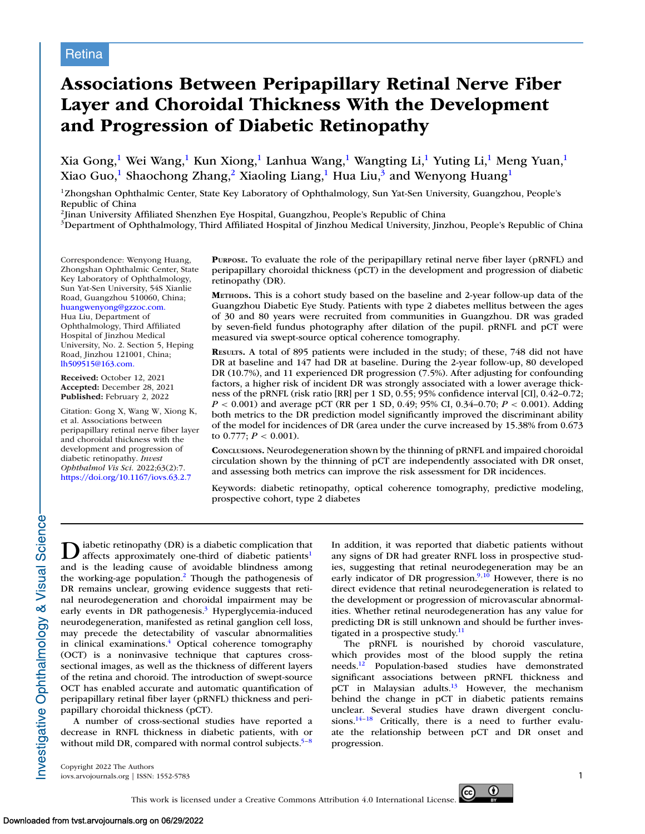# **Associations Between Peripapillary Retinal Nerve Fiber Layer and Choroidal Thickness With the Development and Progression of Diabetic Retinopathy**

Xia Gong,<sup>1</sup> Wei Wang,<sup>1</sup> Kun Xiong,<sup>1</sup> Lanhua Wang,<sup>1</sup> Wangting Li,<sup>1</sup> Yuting Li,<sup>1</sup> Meng Yuan,<sup>1</sup> Xiao Guo,<sup>1</sup> Shaochong Zhang,<sup>2</sup> Xiaoling Liang,<sup>1</sup> Hua Liu,<sup>3</sup> and Wenyong Huang<sup>1</sup>

1Zhongshan Ophthalmic Center, State Key Laboratory of Ophthalmology, Sun Yat-Sen University, Guangzhou, People's Republic of China

2Jinan University Affiliated Shenzhen Eye Hospital, Guangzhou, People's Republic of China

<sup>3</sup>Department of Ophthalmology, Third Affiliated Hospital of Jinzhou Medical University, Jinzhou, People's Republic of China

Correspondence: Wenyong Huang, Zhongshan Ophthalmic Center, State Key Laboratory of Ophthalmology, Sun Yat-Sen University, 54S Xianlie Road, Guangzhou 510060, China; [huangwenyong@gzzoc.com.](mailto:huangwenyong@gzzoc.com.) Hua Liu, Department of Ophthalmology, Third Affiliated Hospital of Jinzhou Medical University, No. 2. Section 5, Heping Road, Jinzhou 121001, China; [lh509515@163.com.](mailto:lh509515@163.com.)

**Received:** October 12, 2021 **Accepted:** December 28, 2021 **Published:** February 2, 2022

Citation: Gong X, Wang W, Xiong K, et al. Associations between peripapillary retinal nerve fiber layer and choroidal thickness with the development and progression of diabetic retinopathy. *Invest Ophthalmol Vis Sci.* 2022;63(2):7. <https://doi.org/10.1167/iovs.63.2.7>

**PURPOSE.** To evaluate the role of the peripapillary retinal nerve fiber layer (pRNFL) and peripapillary choroidal thickness (pCT) in the development and progression of diabetic retinopathy (DR).

**METHODS.** This is a cohort study based on the baseline and 2-year follow-up data of the Guangzhou Diabetic Eye Study. Patients with type 2 diabetes mellitus between the ages of 30 and 80 years were recruited from communities in Guangzhou. DR was graded by seven-field fundus photography after dilation of the pupil. pRNFL and pCT were measured via swept-source optical coherence tomography.

**RESULTS.** A total of 895 patients were included in the study; of these, 748 did not have DR at baseline and 147 had DR at baseline. During the 2-year follow-up, 80 developed DR (10.7%), and 11 experienced DR progression (7.5%). After adjusting for confounding factors, a higher risk of incident DR was strongly associated with a lower average thickness of the pRNFL (risk ratio [RR] per 1 SD, 0.55; 95% confidence interval [CI], 0.42–0.72; *P* < 0.001) and average pCT (RR per 1 SD, 0.49; 95% CI, 0.34–0.70; *P* < 0.001). Adding both metrics to the DR prediction model significantly improved the discriminant ability of the model for incidences of DR (area under the curve increased by 15.38% from 0.673 to 0.777;  $P < 0.001$ ).

**CONCLUSIONS.** Neurodegeneration shown by the thinning of pRNFL and impaired choroidal circulation shown by the thinning of pCT are independently associated with DR onset, and assessing both metrics can improve the risk assessment for DR incidences.

Keywords: diabetic retinopathy, optical coherence tomography, predictive modeling, prospective cohort, type 2 diabetes

**D** iabetic retinopathy (DR) is a diabetic complication that affects approximately one-third of diabetic patients<sup>1</sup> and is the leading cause of avoidable blindness among the working-age population[.2](#page-5-0) Though the pathogenesis of DR remains unclear, growing evidence suggests that retinal neurodegeneration and choroidal impairment may be early events in DR pathogenesis. $3$  Hyperglycemia-induced neurodegeneration, manifested as retinal ganglion cell loss, may precede the detectability of vascular abnormalities in clinical examinations.<sup>4</sup> Optical coherence tomography (OCT) is a noninvasive technique that captures crosssectional images, as well as the thickness of different layers of the retina and choroid. The introduction of swept-source OCT has enabled accurate and automatic quantification of peripapillary retinal fiber layer (pRNFL) thickness and peripapillary choroidal thickness (pCT).

A number of cross-sectional studies have reported a decrease in RNFL thickness in diabetic patients, with or without mild DR, compared with normal control subjects.<sup>5-8</sup> In addition, it was reported that diabetic patients without any signs of DR had greater RNFL loss in prospective studies, suggesting that retinal neurodegeneration may be an early indicator of DR progression. $9,10$  However, there is no direct evidence that retinal neurodegeneration is related to the development or progression of microvascular abnormalities. Whether retinal neurodegeneration has any value for predicting DR is still unknown and should be further investigated in a prospective study.<sup>11</sup>

The pRNFL is nourished by choroid vasculature, which provides most of the blood supply the retina needs[.12](#page-6-0) Population-based studies have demonstrated significant associations between pRNFL thickness and pCT in Malaysian adults. $13$  However, the mechanism behind the change in pCT in diabetic patients remains unclear. Several studies have drawn divergent conclusions.<sup>14-18</sup> Critically, there is a need to further evaluate the relationship between pCT and DR onset and progression.

Copyright 2022 The Authors iovs.arvojournals.org | ISSN: 1552-5783 1

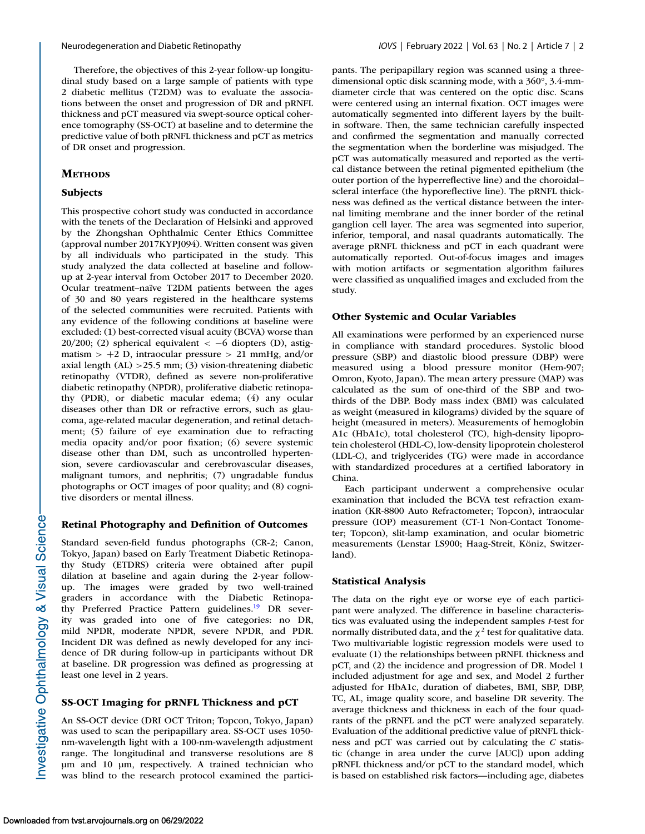Therefore, the objectives of this 2-year follow-up longitudinal study based on a large sample of patients with type 2 diabetic mellitus (T2DM) was to evaluate the associations between the onset and progression of DR and pRNFL thickness and pCT measured via swept-source optical coherence tomography (SS-OCT) at baseline and to determine the predictive value of both pRNFL thickness and pCT as metrics of DR onset and progression.

# **METHODS**

# **Subjects**

This prospective cohort study was conducted in accordance with the tenets of the Declaration of Helsinki and approved by the Zhongshan Ophthalmic Center Ethics Committee (approval number 2017KYPJ094). Written consent was given by all individuals who participated in the study. This study analyzed the data collected at baseline and followup at 2-year interval from October 2017 to December 2020. Ocular treatment–naïve T2DM patients between the ages of 30 and 80 years registered in the healthcare systems of the selected communities were recruited. Patients with any evidence of the following conditions at baseline were excluded: (1) best-corrected visual acuity (BCVA) worse than 20/200; (2) spherical equivalent  $\lt$  -6 diopters (D), astigmatism  $> +2$  D, intraocular pressure  $> 21$  mmHg, and/or axial length (AL) >25.5 mm; (3) vision-threatening diabetic retinopathy (VTDR), defined as severe non-proliferative diabetic retinopathy (NPDR), proliferative diabetic retinopathy (PDR), or diabetic macular edema; (4) any ocular diseases other than DR or refractive errors, such as glaucoma, age-related macular degeneration, and retinal detachment; (5) failure of eye examination due to refracting media opacity and/or poor fixation; (6) severe systemic disease other than DM, such as uncontrolled hypertension, severe cardiovascular and cerebrovascular diseases, malignant tumors, and nephritis; (7) ungradable fundus photographs or OCT images of poor quality; and (8) cognitive disorders or mental illness.

# **Retinal Photography and Definition of Outcomes**

Standard seven-field fundus photographs (CR-2; Canon, Tokyo, Japan) based on Early Treatment Diabetic Retinopathy Study (ETDRS) criteria were obtained after pupil dilation at baseline and again during the 2-year followup. The images were graded by two well-trained graders in accordance with the Diabetic Retinopathy Preferred Practice Pattern guidelines.<sup>19</sup> DR severity was graded into one of five categories: no DR, mild NPDR, moderate NPDR, severe NPDR, and PDR. Incident DR was defined as newly developed for any incidence of DR during follow-up in participants without DR at baseline. DR progression was defined as progressing at least one level in 2 years.

# **SS-OCT Imaging for pRNFL Thickness and pCT**

An SS-OCT device (DRI OCT Triton; Topcon, Tokyo, Japan) was used to scan the peripapillary area. SS-OCT uses 1050 nm-wavelength light with a 100-nm-wavelength adjustment range. The longitudinal and transverse resolutions are 8 μm and 10 μm, respectively. A trained technician who was blind to the research protocol examined the participants. The peripapillary region was scanned using a threedimensional optic disk scanning mode, with a 360°, 3.4-mmdiameter circle that was centered on the optic disc. Scans were centered using an internal fixation. OCT images were automatically segmented into different layers by the builtin software. Then, the same technician carefully inspected and confirmed the segmentation and manually corrected the segmentation when the borderline was misjudged. The pCT was automatically measured and reported as the vertical distance between the retinal pigmented epithelium (the outer portion of the hyperreflective line) and the choroidal– scleral interface (the hyporeflective line). The pRNFL thickness was defined as the vertical distance between the internal limiting membrane and the inner border of the retinal ganglion cell layer. The area was segmented into superior, inferior, temporal, and nasal quadrants automatically. The average pRNFL thickness and pCT in each quadrant were automatically reported. Out-of-focus images and images with motion artifacts or segmentation algorithm failures were classified as unqualified images and excluded from the study.

# **Other Systemic and Ocular Variables**

All examinations were performed by an experienced nurse in compliance with standard procedures. Systolic blood pressure (SBP) and diastolic blood pressure (DBP) were measured using a blood pressure monitor (Hem-907; Omron, Kyoto, Japan). The mean artery pressure (MAP) was calculated as the sum of one-third of the SBP and twothirds of the DBP. Body mass index (BMI) was calculated as weight (measured in kilograms) divided by the square of height (measured in meters). Measurements of hemoglobin A1c (HbA1c), total cholesterol (TC), high-density lipoprotein cholesterol (HDL-C), low-density lipoprotein cholesterol (LDL-C), and triglycerides (TG) were made in accordance with standardized procedures at a certified laboratory in China.

Each participant underwent a comprehensive ocular examination that included the BCVA test refraction examination (KR-8800 Auto Refractometer; Topcon), intraocular pressure (IOP) measurement (CT-1 Non-Contact Tonometer; Topcon), slit-lamp examination, and ocular biometric measurements (Lenstar LS900; Haag-Streit, Köniz, Switzerland).

### **Statistical Analysis**

The data on the right eye or worse eye of each participant were analyzed. The difference in baseline characteristics was evaluated using the independent samples *t*-test for normally distributed data, and the  $\chi^2$  test for qualitative data. Two multivariable logistic regression models were used to evaluate (1) the relationships between pRNFL thickness and pCT, and (2) the incidence and progression of DR. Model 1 included adjustment for age and sex, and Model 2 further adjusted for HbA1c, duration of diabetes, BMI, SBP, DBP, TC, AL, image quality score, and baseline DR severity. The average thickness and thickness in each of the four quadrants of the pRNFL and the pCT were analyzed separately. Evaluation of the additional predictive value of pRNFL thickness and pCT was carried out by calculating the *C* statistic (change in area under the curve [AUC]) upon adding pRNFL thickness and/or pCT to the standard model, which is based on established risk factors—including age, diabetes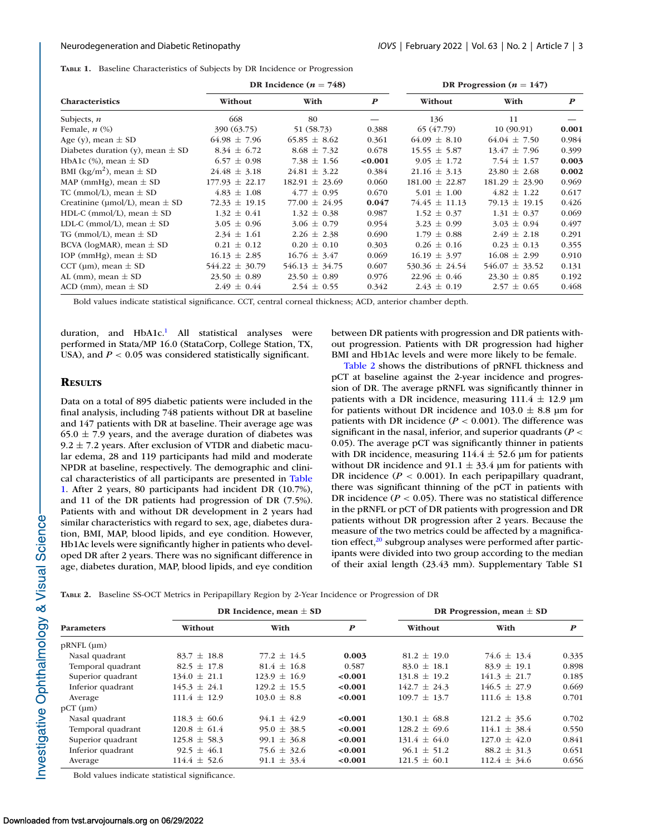**TABLE 1.** Baseline Characteristics of Subjects by DR Incidence or Progression

|                                          | DR Incidence ( $n = 748$ ) |                    |                  | DR Progression ( $n = 147$ ) |                    |                  |
|------------------------------------------|----------------------------|--------------------|------------------|------------------------------|--------------------|------------------|
| <b>Characteristics</b>                   | Without                    | With               | $\boldsymbol{P}$ | Without                      | With               | $\boldsymbol{P}$ |
| Subjects, $n$                            | 668                        | 80                 |                  | 136                          | 11                 |                  |
| Female, $n$ $(\%)$                       | 390 (63.75)                | 51 (58.73)         | 0.388            | 65 (47.79)                   | 10(90.91)          | 0.001            |
| Age (y), mean $\pm$ SD                   | $64.98 \pm 7.96$           | $65.85 \pm 8.62$   | 0.361            | $64.09 \pm 8.10$             | $64.04 \pm 7.50$   | 0.984            |
| Diabetes duration (y), mean $\pm$ SD     | $8.34 \pm 6.72$            | $8.68 \pm 7.32$    | 0.678            | $15.55 \pm 5.87$             | $13.47 \pm 7.96$   | 0.399            |
| HbA1c $(\%)$ , mean $\pm$ SD             | $6.57 \pm 0.98$            | 7.38 $\pm$ 1.56    | < 0.001          | $9.05 \pm 1.72$              | 7.54 $\pm$ 1.57    | 0.003            |
| BMI (kg/m <sup>2</sup> ), mean $\pm$ SD  | $24.48 \pm 3.18$           | $24.81 \pm 3.22$   | 0.384            | $21.16 \pm 3.13$             | $23.80 \pm 2.68$   | 0.002            |
| MAP (mmHg), mean $\pm$ SD                | $177.93 \pm 22.17$         | $182.91 \pm 23.69$ | 0.060            | $181.00 \pm 22.87$           | $181.29 \pm 23.90$ | 0.969            |
| TC (mmol/L), mean $\pm$ SD               | $4.83 \pm 1.08$            | $4.77 \pm 0.95$    | 0.670            | $5.01 \pm 1.00$              | $4.82 \pm 1.22$    | 0.617            |
| Creatinine ( $\mu$ mol/L), mean $\pm$ SD | $72.33 \pm 19.15$          | $77.00 \pm 24.95$  | 0.047            | $74.45 \pm 11.13$            | $79.13 \pm 19.15$  | 0.426            |
| HDL-C (mmol/L), mean $\pm$ SD            | $1.32 \pm 0.41$            | $1.32 \pm 0.38$    | 0.987            | $1.52 \pm 0.37$              | $1.31 \pm 0.37$    | 0.069            |
| LDL-C (mmol/L), mean $\pm$ SD            | $3.05 \pm 0.96$            | $3.06 \pm 0.79$    | 0.954            | $3.23 \pm 0.99$              | $3.03 \pm 0.94$    | 0.497            |
| TG (mmol/L), mean $\pm$ SD               | $2.34 \pm 1.61$            | $2.26 \pm 2.38$    | 0.690            | $1.79 \pm 0.88$              | $2.49 \pm 2.18$    | 0.291            |
| BCVA (logMAR), mean $\pm$ SD             | $0.21 \pm 0.12$            | $0.20 \pm 0.10$    | 0.303            | $0.26 \pm 0.16$              | $0.23 \pm 0.13$    | 0.355            |
| IOP (mmHg), mean $\pm$ SD                | $16.13 \pm 2.85$           | $16.76 \pm 3.47$   | 0.069            | $16.19 \pm 3.97$             | $16.08 \pm 2.99$   | 0.910            |
| CCT ( $\mu$ m), mean $\pm$ SD            | $544.22 \pm 30.79$         | $546.13 \pm 34.75$ | 0.607            | $530.36 \pm 24.54$           | $546.07 \pm 33.52$ | 0.131            |
| AL (mm), mean $\pm$ SD                   | $23.50 \pm 0.89$           | $23.50 \pm 0.89$   | 0.976            | $22.96 \pm 0.46$             | $23.30 \pm 0.85$   | 0.192            |
| ACD (mm), mean $\pm$ SD                  | $2.49 \pm 0.44$            | $2.54 \pm 0.55$    | 0.342            | $2.43 \pm 0.19$              | $2.57 \pm 0.65$    | 0.468            |

Bold values indicate statistical significance. CCT, central corneal thickness; ACD, anterior chamber depth.

duration, and HbA1c.<sup>1</sup> All statistical analyses were performed in Stata/MP 16.0 (StataCorp, College Station, TX, USA), and  $P < 0.05$  was considered statistically significant.

# between DR patients with progression and DR patients without progression. Patients with DR progression had higher BMI and Hb1Ac levels and were more likely to be female.

# **RESULTS**

Data on a total of 895 diabetic patients were included in the final analysis, including 748 patients without DR at baseline and 147 patients with DR at baseline. Their average age was  $65.0 \pm 7.9$  years, and the average duration of diabetes was  $9.2 \pm 7.2$  years. After exclusion of VTDR and diabetic macular edema, 28 and 119 participants had mild and moderate NPDR at baseline, respectively. The demographic and clinical characteristics of all participants are presented in Table 1. After 2 years, 80 participants had incident DR (10.7%), and 11 of the DR patients had progression of DR (7.5%). Patients with and without DR development in 2 years had similar characteristics with regard to sex, age, diabetes duration, BMI, MAP, blood lipids, and eye condition. However, Hb1Ac levels were significantly higher in patients who developed DR after 2 years. There was no significant difference in age, diabetes duration, MAP, blood lipids, and eye condition

Table 2 shows the distributions of pRNFL thickness and pCT at baseline against the 2-year incidence and progression of DR. The average pRNFL was significantly thinner in patients with a DR incidence, measuring  $111.4 \pm 12.9$  µm for patients without DR incidence and  $103.0 \pm 8.8$  µm for patients with DR incidence  $(P < 0.001)$ . The difference was significant in the nasal, inferior, and superior quadrants (*P* < 0.05). The average pCT was significantly thinner in patients with DR incidence, measuring  $114.4 \pm 52.6$  µm for patients without DR incidence and  $91.1 \pm 33.4$  µm for patients with DR incidence  $(P < 0.001)$ . In each peripapillary quadrant, there was significant thinning of the pCT in patients with DR incidence  $(P < 0.05)$ . There was no statistical difference in the pRNFL or pCT of DR patients with progression and DR patients without DR progression after 2 years. Because the measure of the two metrics could be affected by a magnification effect, $20$  subgroup analyses were performed after participants were divided into two group according to the median of their axial length (23.43 mm). Supplementary Table S1

|  | TABLE 2. Baseline SS-OCT Metrics in Peripapillary Region by 2-Year Incidence or Progression of DR |
|--|---------------------------------------------------------------------------------------------------|
|--|---------------------------------------------------------------------------------------------------|

| <b>Parameters</b>  | DR Incidence, mean $\pm$ SD |                  |                  | DR Progression, mean $\pm$ SD |                  |                  |
|--------------------|-----------------------------|------------------|------------------|-------------------------------|------------------|------------------|
|                    | Without                     | With             | $\boldsymbol{P}$ | Without                       | With             | $\boldsymbol{P}$ |
| $pRNFL$ ( $\mu$ m) |                             |                  |                  |                               |                  |                  |
| Nasal quadrant     | $83.7 \pm 18.8$             | $77.2 \pm 14.5$  | 0.003            | $81.2 \pm 19.0$               | $74.6 \pm 13.4$  | 0.335            |
| Temporal quadrant  | $82.5 \pm 17.8$             | $81.4 \pm 16.8$  | 0.587            | $83.0 \pm 18.1$               | $83.9 \pm 19.1$  | 0.898            |
| Superior quadrant  | $134.0 \pm 21.1$            | $123.9 \pm 16.9$ | < 0.001          | $131.8 \pm 19.2$              | $141.3 \pm 21.7$ | 0.185            |
| Inferior quadrant  | $145.3 \pm 24.1$            | $129.2 \pm 15.5$ | < 0.001          | $142.7 \pm 24.3$              | $146.5 \pm 27.9$ | 0.669            |
| Average            | $111.4 \pm 12.9$            | $103.0 \pm 8.8$  | < 0.001          | $109.7 \pm 13.7$              | $111.6 \pm 13.8$ | 0.701            |
| $pCT$ (um)         |                             |                  |                  |                               |                  |                  |
| Nasal quadrant     | $118.3 \pm 60.6$            | $94.1 \pm 42.9$  | < 0.001          | $130.1 \pm 68.8$              | $121.2 \pm 35.6$ | 0.702            |
| Temporal quadrant  | $120.8 \pm 61.4$            | $95.0 \pm 38.5$  | < 0.001          | $128.2 \pm 69.6$              | $114.1 \pm 38.4$ | 0.550            |
| Superior quadrant  | $125.8 \pm 58.3$            | $99.1 \pm 36.8$  | < 0.001          | $131.4 \pm 64.0$              | $127.0 \pm 42.0$ | 0.841            |
| Inferior quadrant  | $92.5 \pm 46.1$             | $75.6 \pm 32.6$  | < 0.001          | $96.1 \pm 51.2$               | $88.2 \pm 31.3$  | 0.651            |
| Average            | $114.4 \pm 52.6$            | $91.1 \pm 33.4$  | < 0.001          | $121.5 \pm 60.1$              | $112.4 \pm 34.6$ | 0.656            |

Bold values indicate statistical significance.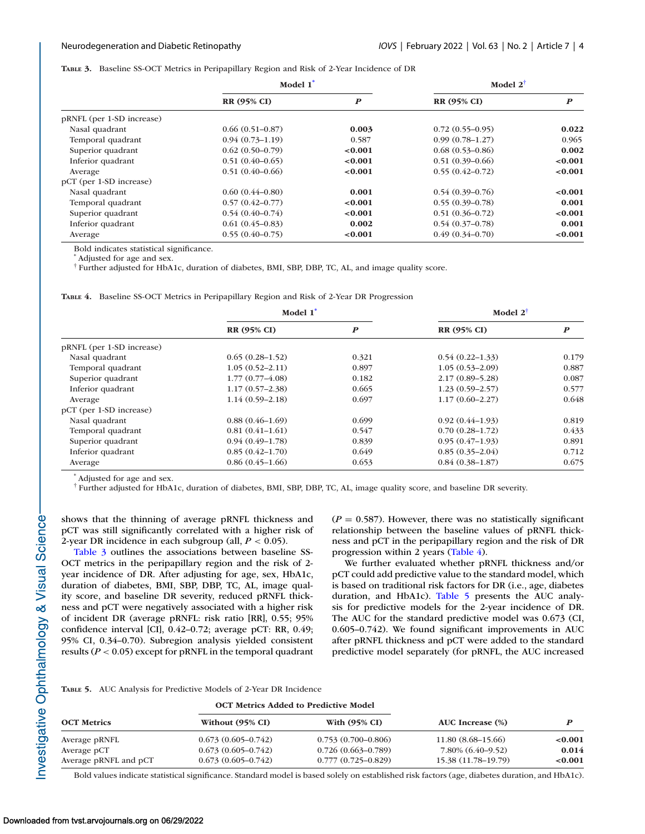**TABLE 3.** Baseline SS-OCT Metrics in Peripapillary Region and Risk of 2-Year Incidence of DR

|                           | Model 1 <sup>*</sup> |                  | Model $2^{\dagger}$ |                  |
|---------------------------|----------------------|------------------|---------------------|------------------|
|                           | <b>RR (95% CI)</b>   | $\boldsymbol{P}$ | <b>RR (95% CI)</b>  | $\boldsymbol{P}$ |
| pRNFL (per 1-SD increase) |                      |                  |                     |                  |
| Nasal quadrant            | $0.66(0.51-0.87)$    | 0.003            | $0.72(0.55-0.95)$   | 0.022            |
| Temporal quadrant         | $0.94(0.73 - 1.19)$  | 0.587            | $0.99(0.78 - 1.27)$ | 0.965            |
| Superior quadrant         | $0.62(0.50-0.79)$    | < 0.001          | $0.68(0.53-0.86)$   | 0.002            |
| Inferior quadrant         | $0.51(0.40-0.65)$    | < 0.001          | $0.51(0.39-0.66)$   | < 0.001          |
| Average                   | $0.51(0.40-0.66)$    | < 0.001          | $0.55(0.42 - 0.72)$ | < 0.001          |
| pCT (per 1-SD increase)   |                      |                  |                     |                  |
| Nasal quadrant            | $0.60(0.44 - 0.80)$  | 0.001            | $0.54(0.39-0.76)$   | < 0.001          |
| Temporal quadrant         | $0.57(0.42 - 0.77)$  | < 0.001          | $0.55(0.39-0.78)$   | 0.001            |
| Superior quadrant         | $0.54(0.40-0.74)$    | < 0.001          | $0.51(0.36 - 0.72)$ | < 0.001          |
| Inferior quadrant         | $0.61(0.45-0.83)$    | 0.002            | $0.54(0.37-0.78)$   | 0.001            |
| Average                   | $0.55(0.40-0.75)$    | < 0.001          | $0.49(0.34 - 0.70)$ | < 0.001          |

Bold indicates statistical significance.

\* Adjusted for age and sex.

† Further adjusted for HbA1c, duration of diabetes, BMI, SBP, DBP, TC, AL, and image quality score.

**TABLE 4.** Baseline SS-OCT Metrics in Peripapillary Region and Risk of 2-Year DR Progression

|                           | Model 1 <sup>*</sup> |                  | Model $2^{\dagger}$ |                  |
|---------------------------|----------------------|------------------|---------------------|------------------|
|                           | <b>RR (95% CI)</b>   | $\boldsymbol{P}$ | <b>RR (95% CI)</b>  | $\boldsymbol{P}$ |
| pRNFL (per 1-SD increase) |                      |                  |                     |                  |
| Nasal quadrant            | $0.65(0.28-1.52)$    | 0.321            | $0.54(0.22 - 1.33)$ | 0.179            |
| Temporal quadrant         | $1.05(0.52 - 2.11)$  | 0.897            | $1.05(0.53 - 2.09)$ | 0.887            |
| Superior quadrant         | $1.77(0.77 - 4.08)$  | 0.182            | $2.17(0.89 - 5.28)$ | 0.087            |
| Inferior quadrant         | $1.17(0.57-2.38)$    | 0.665            | $1.23(0.59-2.57)$   | 0.577            |
| Average                   | $1.14(0.59 - 2.18)$  | 0.697            | $1.17(0.60 - 2.27)$ | 0.648            |
| pCT (per 1-SD increase)   |                      |                  |                     |                  |
| Nasal quadrant            | $0.88(0.46-1.69)$    | 0.699            | $0.92(0.44-1.93)$   | 0.819            |
| Temporal quadrant         | $0.81(0.41-1.61)$    | 0.547            | $0.70(0.28 - 1.72)$ | 0.433            |
| Superior quadrant         | $0.94(0.49-1.78)$    | 0.839            | $0.95(0.47-1.93)$   | 0.891            |
| Inferior quadrant         | $0.85(0.42 - 1.70)$  | 0.649            | $0.85(0.35-2.04)$   | 0.712            |
| Average                   | $0.86(0.45-1.66)$    | 0.653            | $0.84(0.38-1.87)$   | 0.675            |

\* Adjusted for age and sex.

† Further adjusted for HbA1c, duration of diabetes, BMI, SBP, DBP, TC, AL, image quality score, and baseline DR severity.

shows that the thinning of average pRNFL thickness and pCT was still significantly correlated with a higher risk of 2-year DR incidence in each subgroup (all,  $P < 0.05$ ).

Table 3 outlines the associations between baseline SS-OCT metrics in the peripapillary region and the risk of 2 year incidence of DR. After adjusting for age, sex, HbA1c, duration of diabetes, BMI, SBP, DBP, TC, AL, image quality score, and baseline DR severity, reduced pRNFL thickness and pCT were negatively associated with a higher risk of incident DR (average pRNFL: risk ratio [RR], 0.55; 95% confidence interval [CI], 0.42–0.72; average pCT: RR, 0.49; 95% CI, 0.34–0.70). Subregion analysis yielded consistent results (*P* < 0.05) except for pRNFL in the temporal quadrant  $(P = 0.587)$ . However, there was no statistically significant relationship between the baseline values of pRNFL thickness and pCT in the peripapillary region and the risk of DR progression within 2 years (Table 4).

We further evaluated whether pRNFL thickness and/or pCT could add predictive value to the standard model, which is based on traditional risk factors for DR (i.e., age, diabetes duration, and HbA1c). Table 5 presents the AUC analysis for predictive models for the 2-year incidence of DR. The AUC for the standard predictive model was 0.673 (CI, 0.605–0.742). We found significant improvements in AUC after pRNFL thickness and pCT were added to the standard predictive model separately (for pRNFL, the AUC increased

**TABLE 5.** AUC Analysis for Predictive Models of 2-Year DR Incidence

|                       |                        | <b>OCT Metrics Added to Predictive Model</b> | AUC Increase (%)    |         |
|-----------------------|------------------------|----------------------------------------------|---------------------|---------|
| <b>OCT Metrics</b>    | Without (95% CI)       | With $(95\% \text{ CI})$                     |                     |         |
| Average pRNFL         | $0.673(0.605 - 0.742)$ | $0.753(0.700 - 0.806)$                       | $11.80(8.68-15.66)$ | < 0.001 |
| Average pCT           | $0.673(0.605 - 0.742)$ | $0.726(0.663 - 0.789)$                       | 7.80% (6.40–9.52)   | 0.014   |
| Average pRNFL and pCT | $0.673(0.605 - 0.742)$ | $0.777(0.725 - 0.829)$                       | 15.38 (11.78–19.79) | < 0.001 |

Bold values indicate statistical significance. Standard model is based solely on established risk factors (age, diabetes duration, and HbA1c).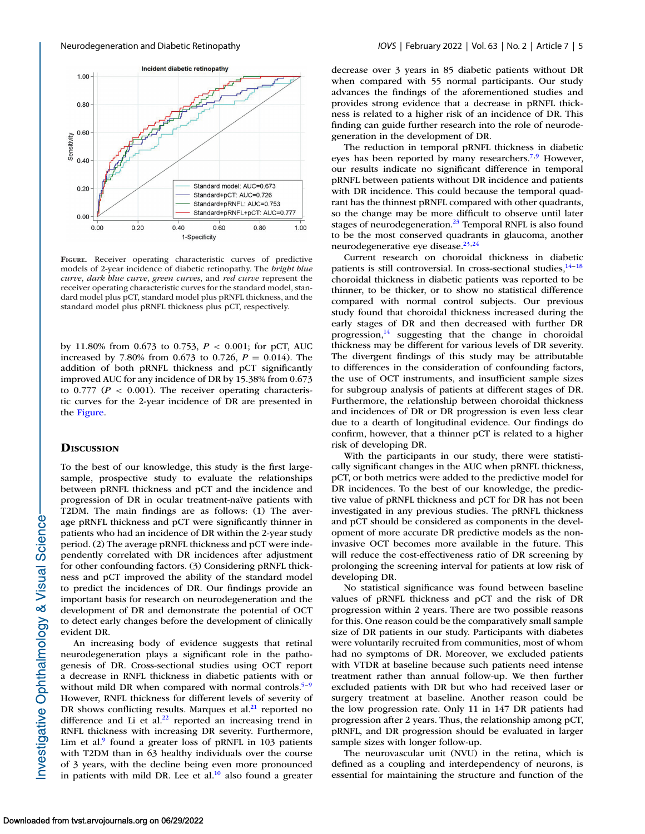

**FIGURE.** Receiver operating characteristic curves of predictive models of 2-year incidence of diabetic retinopathy. The *bright blue curve*, *dark blue curve*, *green curves*, and *red curve* represent the receiver operating characteristic curves for the standard model, standard model plus pCT, standard model plus pRNFL thickness, and the standard model plus pRNFL thickness plus pCT, respectively.

by 11.80% from 0.673 to 0.753, *P* < 0.001; for pCT, AUC increased by 7.80% from 0.673 to 0.726,  $P = 0.014$ ). The addition of both pRNFL thickness and pCT significantly improved AUC for any incidence of DR by 15.38% from 0.673 to  $0.777$  ( $P < 0.001$ ). The receiver operating characteristic curves for the 2-year incidence of DR are presented in the Figure.

# **DISCUSSION**

To the best of our knowledge, this study is the first largesample, prospective study to evaluate the relationships between pRNFL thickness and pCT and the incidence and progression of DR in ocular treatment-naïve patients with T2DM. The main findings are as follows: (1) The average pRNFL thickness and pCT were significantly thinner in patients who had an incidence of DR within the 2-year study period. (2) The average pRNFL thickness and pCT were independently correlated with DR incidences after adjustment for other confounding factors. (3) Considering pRNFL thickness and pCT improved the ability of the standard model to predict the incidences of DR. Our findings provide an important basis for research on neurodegeneration and the development of DR and demonstrate the potential of OCT to detect early changes before the development of clinically evident DR.

An increasing body of evidence suggests that retinal neurodegeneration plays a significant role in the pathogenesis of DR. Cross-sectional studies using OCT report a decrease in RNFL thickness in diabetic patients with or without mild DR when compared with normal controls. $5-9$  $5-9$ However, RNFL thickness for different levels of severity of DR shows conflicting results. Marques et al. $^{21}$  reported no difference and Li et al. $^{22}$  reported an increasing trend in RNFL thickness with increasing DR severity. Furthermore, Lim et al. $9$  found a greater loss of pRNFL in 103 patients with T2DM than in 63 healthy individuals over the course of 3 years, with the decline being even more pronounced in patients with mild DR. Lee et al. $10$  also found a greater decrease over 3 years in 85 diabetic patients without DR when compared with 55 normal participants. Our study advances the findings of the aforementioned studies and provides strong evidence that a decrease in pRNFL thickness is related to a higher risk of an incidence of DR. This finding can guide further research into the role of neurodegeneration in the development of DR.

The reduction in temporal pRNFL thickness in diabetic eyes has been reported by many researchers.<sup>7,[9](#page-6-0)</sup> However, our results indicate no significant difference in temporal pRNFL between patients without DR incidence and patients with DR incidence. This could because the temporal quadrant has the thinnest pRNFL compared with other quadrants, so the change may be more difficult to observe until later stages of neurodegeneration.<sup>23</sup> Temporal RNFL is also found to be the most conserved quadrants in glaucoma, another neurodegenerative eye disease. $23,24$ 

Current research on choroidal thickness in diabetic patients is still controversial. In cross-sectional studies, $14-18$ choroidal thickness in diabetic patients was reported to be thinner, to be thicker, or to show no statistical difference compared with normal control subjects. Our previous study found that choroidal thickness increased during the early stages of DR and then decreased with further DR progression, $14$  suggesting that the change in choroidal thickness may be different for various levels of DR severity. The divergent findings of this study may be attributable to differences in the consideration of confounding factors, the use of OCT instruments, and insufficient sample sizes for subgroup analysis of patients at different stages of DR. Furthermore, the relationship between choroidal thickness and incidences of DR or DR progression is even less clear due to a dearth of longitudinal evidence. Our findings do confirm, however, that a thinner pCT is related to a higher risk of developing DR.

With the participants in our study, there were statistically significant changes in the AUC when pRNFL thickness, pCT, or both metrics were added to the predictive model for DR incidences. To the best of our knowledge, the predictive value of pRNFL thickness and pCT for DR has not been investigated in any previous studies. The pRNFL thickness and pCT should be considered as components in the development of more accurate DR predictive models as the noninvasive OCT becomes more available in the future. This will reduce the cost-effectiveness ratio of DR screening by prolonging the screening interval for patients at low risk of developing DR.

No statistical significance was found between baseline values of pRNFL thickness and pCT and the risk of DR progression within 2 years. There are two possible reasons for this. One reason could be the comparatively small sample size of DR patients in our study. Participants with diabetes were voluntarily recruited from communities, most of whom had no symptoms of DR. Moreover, we excluded patients with VTDR at baseline because such patients need intense treatment rather than annual follow-up. We then further excluded patients with DR but who had received laser or surgery treatment at baseline. Another reason could be the low progression rate. Only 11 in 147 DR patients had progression after 2 years. Thus, the relationship among pCT, pRNFL, and DR progression should be evaluated in larger sample sizes with longer follow-up.

The neurovascular unit (NVU) in the retina, which is defined as a coupling and interdependency of neurons, is essential for maintaining the structure and function of the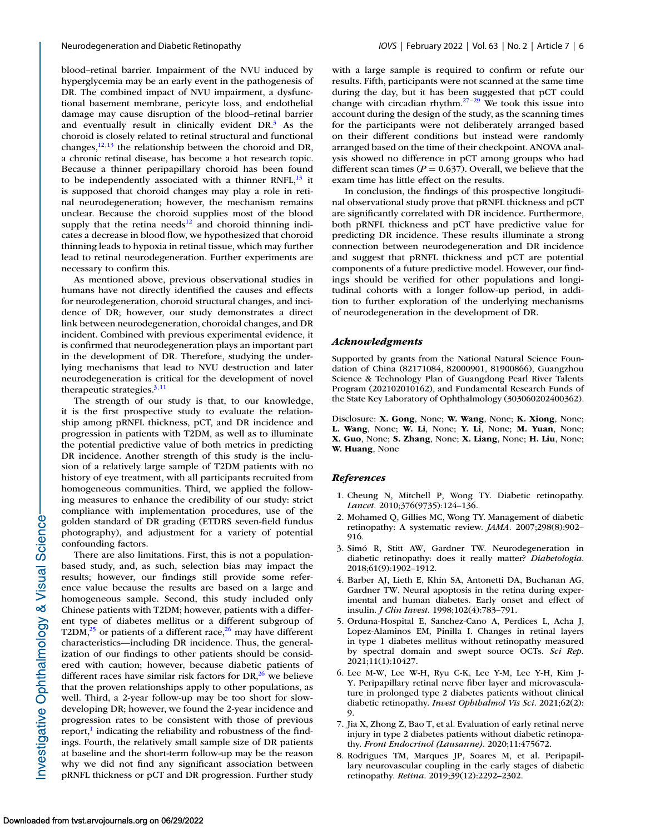<span id="page-5-0"></span>blood–retinal barrier. Impairment of the NVU induced by hyperglycemia may be an early event in the pathogenesis of DR. The combined impact of NVU impairment, a dysfunctional basement membrane, pericyte loss, and endothelial damage may cause disruption of the blood–retinal barrier and eventually result in clinically evident  $DR<sup>3</sup>$  As the choroid is closely related to retinal structural and functional changes, $12,13$  the relationship between the choroid and DR, a chronic retinal disease, has become a hot research topic. Because a thinner peripapillary choroid has been found to be independently associated with a thinner RNFL, $^{13}$  it is supposed that choroid changes may play a role in retinal neurodegeneration; however, the mechanism remains unclear. Because the choroid supplies most of the blood supply that the retina needs $12$  and choroid thinning indicates a decrease in blood flow, we hypothesized that choroid thinning leads to hypoxia in retinal tissue, which may further lead to retinal neurodegeneration. Further experiments are necessary to confirm this.

As mentioned above, previous observational studies in humans have not directly identified the causes and effects for neurodegeneration, choroid structural changes, and incidence of DR; however, our study demonstrates a direct link between neurodegeneration, choroidal changes, and DR incident. Combined with previous experimental evidence, it is confirmed that neurodegeneration plays an important part in the development of DR. Therefore, studying the underlying mechanisms that lead to NVU destruction and later neurodegeneration is critical for the development of novel therapeutic strategies. $3,11$  $3,11$ 

The strength of our study is that, to our knowledge, it is the first prospective study to evaluate the relationship among pRNFL thickness, pCT, and DR incidence and progression in patients with T2DM, as well as to illuminate the potential predictive value of both metrics in predicting DR incidence. Another strength of this study is the inclusion of a relatively large sample of T2DM patients with no history of eye treatment, with all participants recruited from homogeneous communities. Third, we applied the following measures to enhance the credibility of our study: strict compliance with implementation procedures, use of the golden standard of DR grading (ETDRS seven-field fundus photography), and adjustment for a variety of potential confounding factors.

There are also limitations. First, this is not a populationbased study, and, as such, selection bias may impact the results; however, our findings still provide some reference value because the results are based on a large and homogeneous sample. Second, this study included only Chinese patients with T2DM; however, patients with a different type of diabetes mellitus or a different subgroup of T2DM, $^{25}$  or patients of a different race, $^{26}$  may have different characteristics—including DR incidence. Thus, the generalization of our findings to other patients should be considered with caution; however, because diabetic patients of different races have similar risk factors for  $DR<sub>1</sub><sup>26</sup>$  we believe that the proven relationships apply to other populations, as well. Third, a 2-year follow-up may be too short for slowdeveloping DR; however, we found the 2-year incidence and progression rates to be consistent with those of previous report, $\frac{1}{1}$  indicating the reliability and robustness of the findings. Fourth, the relatively small sample size of DR patients at baseline and the short-term follow-up may be the reason why we did not find any significant association between pRNFL thickness or pCT and DR progression. Further study

with a large sample is required to confirm or refute our results. Fifth, participants were not scanned at the same time during the day, but it has been suggested that pCT could change with circadian rhythm. $27-29$  We took this issue into account during the design of the study, as the scanning times for the participants were not deliberately arranged based on their different conditions but instead were randomly arranged based on the time of their checkpoint. ANOVA analysis showed no difference in pCT among groups who had different scan times ( $P = 0.637$ ). Overall, we believe that the exam time has little effect on the results.

In conclusion, the findings of this prospective longitudinal observational study prove that pRNFL thickness and pCT are significantly correlated with DR incidence. Furthermore, both pRNFL thickness and pCT have predictive value for predicting DR incidence. These results illuminate a strong connection between neurodegeneration and DR incidence and suggest that pRNFL thickness and pCT are potential components of a future predictive model. However, our findings should be verified for other populations and longitudinal cohorts with a longer follow-up period, in addition to further exploration of the underlying mechanisms of neurodegeneration in the development of DR.

### *Acknowledgments*

Supported by grants from the National Natural Science Foundation of China (82171084, 82000901, 81900866), Guangzhou Science & Technology Plan of Guangdong Pearl River Talents Program (202102010162), and Fundamental Research Funds of the State Key Laboratory of Ophthalmology (303060202400362).

Disclosure: **X. Gong**, None; **W. Wang**, None; **K. Xiong**, None; **L. Wang**, None; **W. Li**, None; **Y. Li**, None; **M. Yuan**, None; **X. Guo**, None; **S. Zhang**, None; **X. Liang**, None; **H. Liu**, None; **W. Huang**, None

### *References*

- 1. Cheung N, Mitchell P, Wong TY. Diabetic retinopathy. *Lancet.* 2010;376(9735):124–136.
- 2. Mohamed Q, Gillies MC, Wong TY. Management of diabetic retinopathy: A systematic review. *JAMA.* 2007;298(8):902– 916.
- 3. Simó R, Stitt AW, Gardner TW. Neurodegeneration in diabetic retinopathy: does it really matter? *Diabetologia*. 2018;61(9):1902–1912.
- 4. Barber AJ, Lieth E, Khin SA, Antonetti DA, Buchanan AG, Gardner TW. Neural apoptosis in the retina during experimental and human diabetes. Early onset and effect of insulin. *J Clin Invest*. 1998;102(4):783–791.
- 5. Orduna-Hospital E, Sanchez-Cano A, Perdices L, Acha J, Lopez-Alaminos EM, Pinilla I. Changes in retinal layers in type 1 diabetes mellitus without retinopathy measured by spectral domain and swept source OCTs. *Sci Rep.* 2021;11(1):10427.
- 6. Lee M-W, Lee W-H, Ryu C-K, Lee Y-M, Lee Y-H, Kim J-Y. Peripapillary retinal nerve fiber layer and microvasculature in prolonged type 2 diabetes patients without clinical diabetic retinopathy. *Invest Ophthalmol Vis Sci*. 2021;62(2): 9.
- 7. Jia X, Zhong Z, Bao T, et al. Evaluation of early retinal nerve injury in type 2 diabetes patients without diabetic retinopathy. *Front Endocrinol (Lausanne)*. 2020;11:475672.
- 8. Rodrigues TM, Marques JP, Soares M, et al. Peripapillary neurovascular coupling in the early stages of diabetic retinopathy. *Retina*. 2019;39(12):2292–2302.